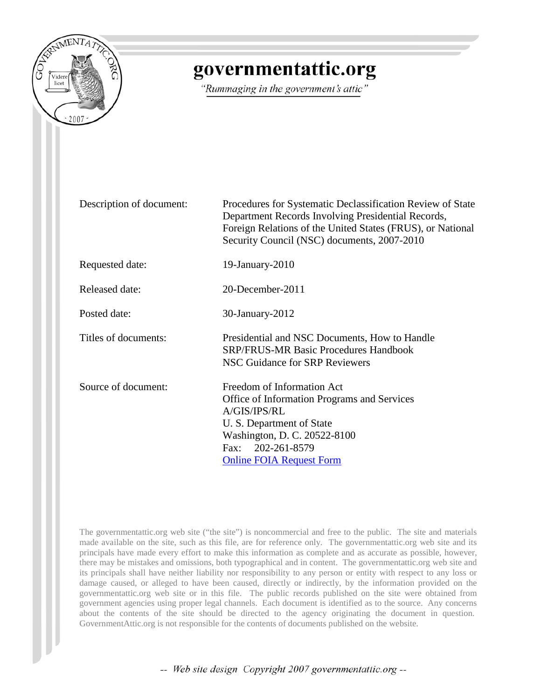

# governmentattic.org

"Rummaging in the government's attic"

| Description of document: | Procedures for Systematic Declassification Review of State<br>Department Records Involving Presidential Records,<br>Foreign Relations of the United States (FRUS), or National<br>Security Council (NSC) documents, 2007-2010 |
|--------------------------|-------------------------------------------------------------------------------------------------------------------------------------------------------------------------------------------------------------------------------|
| Requested date:          | $19$ -January- $2010$                                                                                                                                                                                                         |
| <b>Released date:</b>    | 20-December-2011                                                                                                                                                                                                              |
| Posted date:             | 30-January-2012                                                                                                                                                                                                               |
| Titles of documents:     | Presidential and NSC Documents, How to Handle<br><b>SRP/FRUS-MR Basic Procedures Handbook</b><br><b>NSC Guidance for SRP Reviewers</b>                                                                                        |
| Source of document:      | Freedom of Information Act<br>Office of Information Programs and Services<br>A/GIS/IPS/RL<br>U. S. Department of State<br>Washington, D. C. 20522-8100<br>Fax: 202-261-8579<br><b>Online FOIA Request Form</b>                |

The governmentattic.org web site ("the site") is noncommercial and free to the public. The site and materials made available on the site, such as this file, are for reference only. The governmentattic.org web site and its principals have made every effort to make this information as complete and as accurate as possible, however, there may be mistakes and omissions, both typographical and in content. The governmentattic.org web site and its principals shall have neither liability nor responsibility to any person or entity with respect to any loss or damage caused, or alleged to have been caused, directly or indirectly, by the information provided on the governmentattic.org web site or in this file. The public records published on the site were obtained from government agencies using proper legal channels. Each document is identified as to the source. Any concerns about the contents of the site should be directed to the agency originating the document in question. GovernmentAttic.org is not responsible for the contents of documents published on the website.

-- Web site design Copyright 2007 governmentattic.org --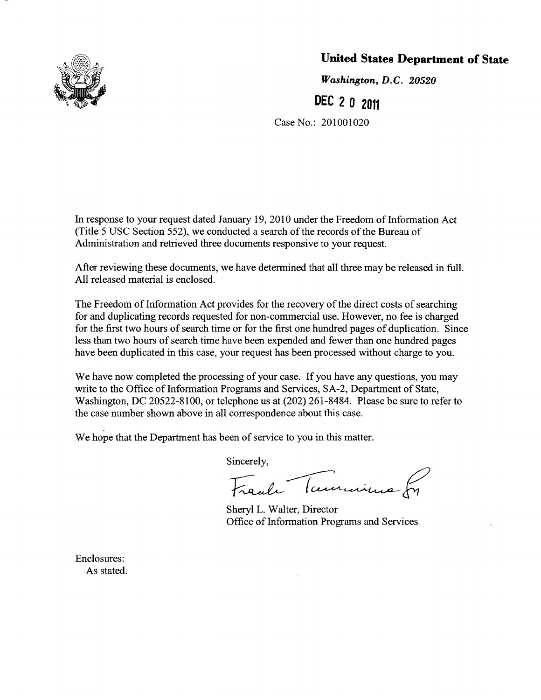

### **United States Department of State**

*Washington,* **D.C.** *20520* 

**DEC 2 0 2011** 

Case No.: 201001020

In response to your request dated January 19, 2010 under the Freedom of Information Act (Title 5 USC Section 552), we conducted a search of the records of the Bureau of Administration and retrieved three documents responsive to your request.

After reviewing these documents, we have determined that all three may be released in full. All released material is enclosed.

The Freedom of Information Act provides for the recovery of the direct costs of searching for and duplicating records requested for non-commercial use. However, no fee is charged for the first two hours of search time or for the first one hundred pages of duplication. Since less than two hours of search time have been expended and fewer than one hundred pages have been duplicated in this case, your request has been processed without charge to you.

We have now completed the processing of your case. If you have any questions, you may write to the Office of Information Programs and Services, SA-2, Department of State, Washington, DC 20522-8100, or telephone us at (202) 261-8484. Please be sure to refer to the case number shown above in all correspondence about this case.

We hope that the Department has been of service to you in this matter.

Sincerely,

France Tummins

Sheryl L. Walter, Director Office of Information Programs and Services

Enclosures: As stated.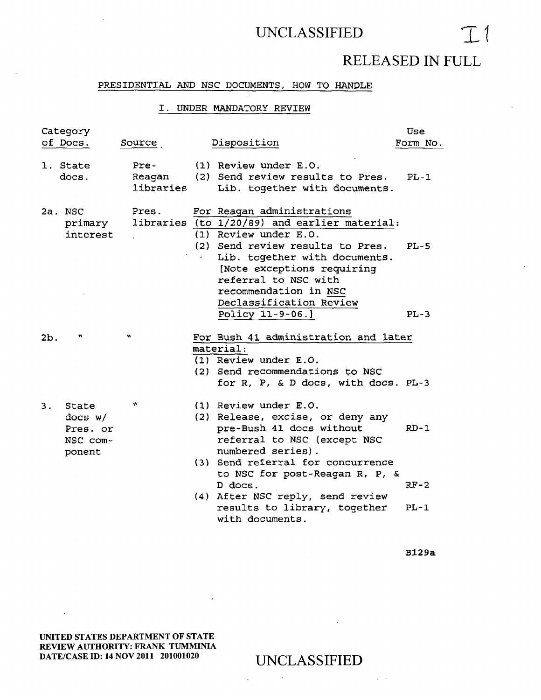# UNCLASSIFIED  $\mathbb{I}$  1

# RELEASED IN FULL

#### PRESIDENTIAL AND NSC DOCUMENTS, HOW TO HANDLE

#### I. UNDER MANDATORY REVIEW

|        | Category                                             |                             |                                                                                                                                                                                                                                                                                                        | Use              |
|--------|------------------------------------------------------|-----------------------------|--------------------------------------------------------------------------------------------------------------------------------------------------------------------------------------------------------------------------------------------------------------------------------------------------------|------------------|
|        | of Docs.                                             | Source                      | Disposition                                                                                                                                                                                                                                                                                            | Form No.         |
|        | 1. State<br>docs.                                    | Pre-<br>Reagan<br>libraries | $(1)$ Review under E.O.<br>(2) Send review results to Pres.<br>Lib. together with documents.                                                                                                                                                                                                           | $PL-1$           |
|        | 2a. NSC<br>primary<br>interest                       | Pres.                       | For Reagan administrations<br>libraries (to 1/20/89) and earlier material:<br>(1) Review under E.O.<br>(2) Send review results to Pres.<br>Lib. together with documents.<br>[Note exceptions requiring<br>referral to NSC with<br>recommendation in NSC<br>Declassification Review<br>Policy 11-9-06.] | $PL-5$<br>$PL-3$ |
| $2b$ . | $\mathbf{u}$                                         | $\mathbf{W}$                | For Bush 41 administration and later<br>material:<br>(1) Review under E.O.                                                                                                                                                                                                                             |                  |
|        |                                                      |                             | (2) Send recommendations to NSC<br>for R, P, & D docs, with docs. PL-3                                                                                                                                                                                                                                 |                  |
| 3.     | State<br>docs $w/$<br>Pres. or<br>NSC com-<br>ponent | H.                          | (1) Review under E.O.<br>(2) Release, excise, or deny any<br>pre-Bush 41 docs without<br>referral to NSC (except NSC<br>numbered series).                                                                                                                                                              | $RD-1$           |
|        |                                                      |                             | (3) Send referral for concurrence<br>to NSC for post-Reagan R, P, &<br>D docs.<br>(4) After NSC reply, send review<br>results to library, together                                                                                                                                                     | $RF-2$<br>$PL-1$ |
|        |                                                      |                             | with documents.                                                                                                                                                                                                                                                                                        |                  |

B129a

 $\Delta \sim 10^4$ 

UNITED STATES DEPARTMENT OF STATE REVIEW AUTHORITY: FRANK TUMMINIA<br>DATE/CASE ID: 14 NOV 2011 201001020

 $\sim$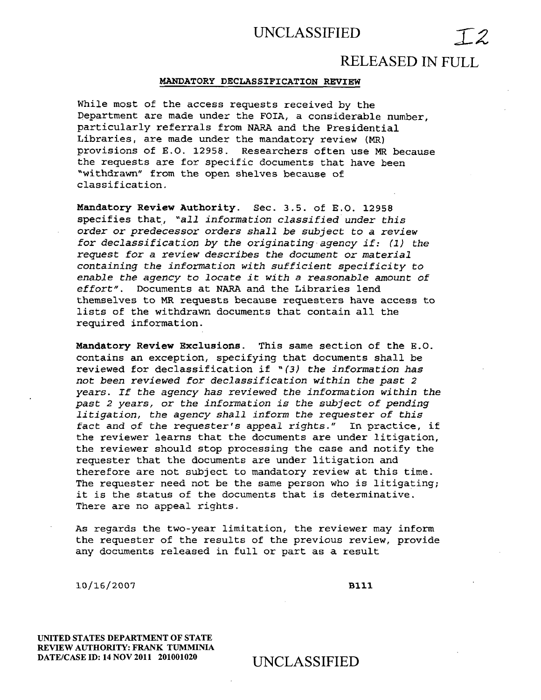## RELEASED IN FULL

#### MANDATORY DECLASSIFICATION REVIEW

While most of the access requests received by the pepartment are made under the FOIA, a considerable number, particularly referrals from NARA and the Presidential Libraries, are made under the mandatory review (MR) provisions of E.O. 12958. Researchers often use MR because the requests are for specific documents that have been "withdrawn" from the open shelves because of classification.

Mandatory Review Authority. Sec. 3.5. of E.O. 12958 specifies that, "all information classified under this *order or predecessor orders shall be subject to a review for declassification by the originating agency if: (1) the*  request *for a review describes the document or material containing the information with sufficient specificity to enable the agency to locate it with a reasonable amount of effort".* Documents at NARA and the Libraries lend themselves to MR requests because requesters have access to lists of the withdrawn documents that contain all the required information.

Mandatory Review Exclusions. This same section of the E.O. contains an exception, specifying that documents shall be reviewed for declassification if *"(3) the information has not been reviewed for declassification within the past 2 years. If the agency has reviewed the information within the past 2 years,* or *the information is the subject of pending litigation, the agency shall inform the requester of this fact and of* the *requester's appeal rights."* In practice, if the reviewer learns that the documents are under litigation, the reviewer should stop processing the case and notify the requester that the documents are under litigation and therefore are not subject to mandatory review at this time. The requester need not be the same person who is litigating; it is the status of the documents that is determinative. There are no appeal rights.

As regards the two-year limitation, the reviewer may inform the requester of the results of the previous review, provide any documents released in full or part as a result

10/16/2007

Blll

UNITED STATES DEPARTMENT OF STATE REVIEW AUTHORITY: FRANK TUMMINIA DATE/CASE ID: 14 NOV 2011 201001020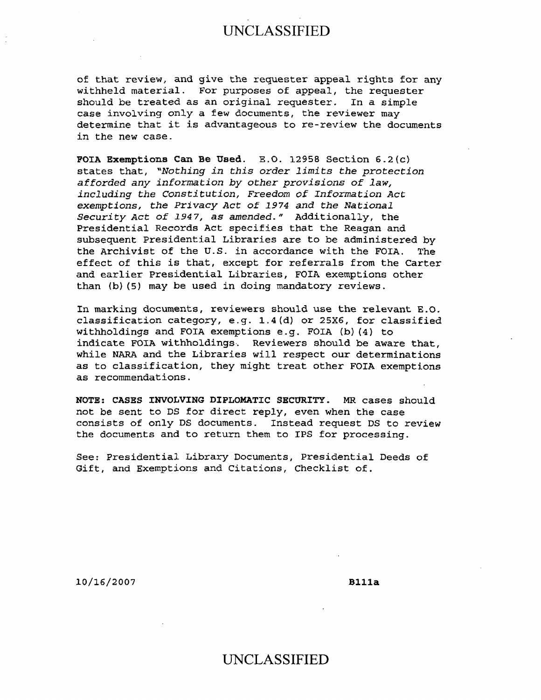of that review, and give the requester appeal rights for any withheld material. For purposes of appeal, the requester should be treated as an original requester. In a simple case involving only a few documents, the reviewer may determine that it is advantageous to re-review the documents in the new case.

FOIA Exemptions Can Be Used. E.O. 12958 Section 6.2(c} states that, *"Nothing in this order limits the protection afforded any information by other provisions of law, including the Constitution, Freedom* of *Information Act exemptions, the Privacy Act of 1974 and the National Security Act of 1947, as amended."* Additionally, the Presidential Records Act specifies that the Reagan and subsequent Presidential Libraries are to be administered by the Archivist of the U.S. in accordance with the FOIA. The effect of this is that, except for referrals from the Carter and earlier Presidential Libraries, FOIA exemptions other than (b) (5) may be used in doing mandatory reviews.

In marking documents, reviewers should use the relevant E.O. classification category, e.g. 1.4(d) or 25X6, for classified withholdings and FOIA exemptions e.g. FOIA (b) (4) to indicate FOIA withholdings. Reviewers should be aware that, while NARA and the Libraries will respect our determinations as to classification, they might treat other FOIA exemptions as recommendations.

NOTE: CASES INVOLVING DIPLOMATIC SECURITY. MR cases should not be sent to *DS* for direct reply, even when the case consists of only DS documents. Instead request DS to review the documents and to return them to IPS for processing.

See: Presidential Library Documents, Presidential Deeds of Gift, and Exemptions and Citations, Checklist of.

10/16/2007 Bllla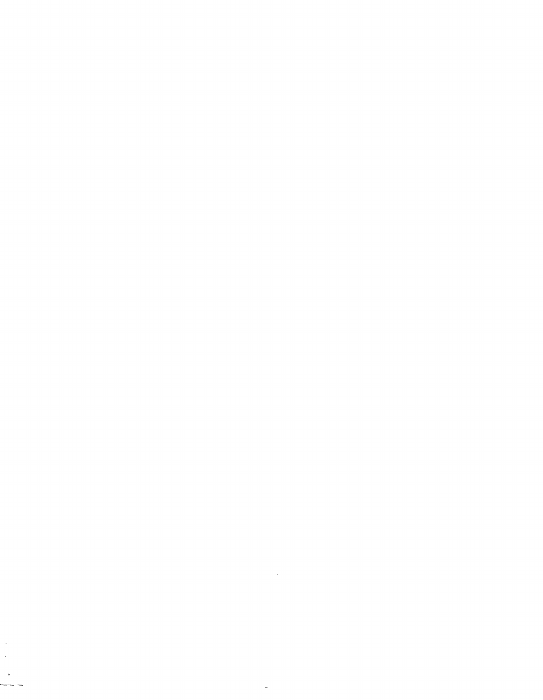$\label{eq:2.1} \frac{1}{\sqrt{2}}\int_{\mathbb{R}^3}\frac{1}{\sqrt{2}}\left(\frac{1}{\sqrt{2}}\right)^2\frac{1}{\sqrt{2}}\left(\frac{1}{\sqrt{2}}\right)^2\frac{1}{\sqrt{2}}\left(\frac{1}{\sqrt{2}}\right)^2\frac{1}{\sqrt{2}}\left(\frac{1}{\sqrt{2}}\right)^2.$ 

 $\begin{array}{c} \mathbf{y} \\ \mathbf{y} \\ \mathbf{y} \end{array}$ 

 $\bar{\boldsymbol{\beta}}$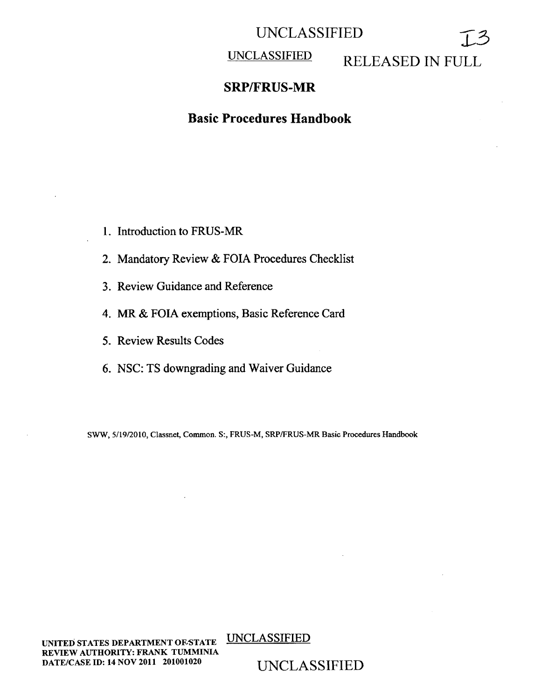UNCLASSIFIED RELEASED IN FULL

 $1.3$ 

#### **SRP/FRUS-MR**

## **Basic Procedures Handbook**

- 1. Introduction to FRUS-MR
- 2. Mandatory Review & FOIA Procedures Checklist
- 3. Review Guidance and Reference
- 4. MR & FOIA exemptions, Basic Reference Card
- 5. Review Results Codes
- 6. NSC: TS downgrading and Waiver Guidance

SWW, 5/19/2010, Classnet, Common. S:, FRUS-M, SRP/FRUS-MR Basic Procedures Handbook

UNITED STATES DEPARTMENT OF STATE REVIEW AUTHORITY: FRANK TUMMINIA DATE/CASE ID: 14 NOV 2011 201001020

UNCLASSIFIED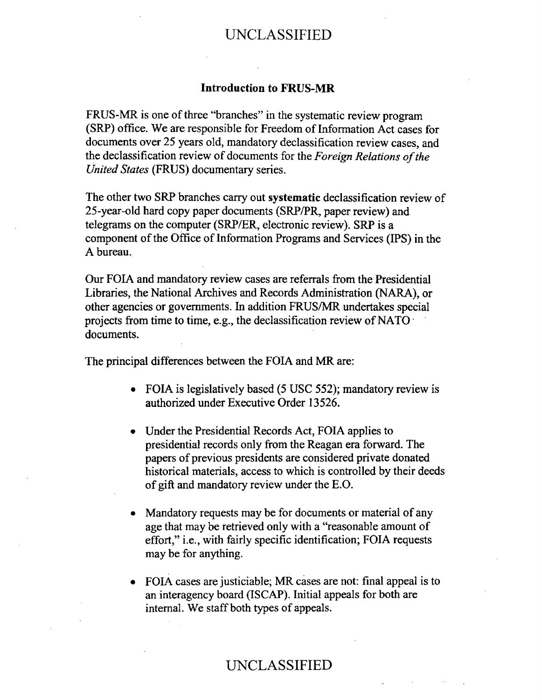#### Introduction to FRUS-MR

FRUS-MR is one of three "branches" in the systematic review program (SRP) office. We are responsible for Freedom of Information Act cases for documents over 25 years old, mandatory declassification review cases, and the declassification review of documents for the *Foreign Relations of the United States* (FRUS) documentary series.

The other two SRP branches carry out systematic declassification review of 25-year-old hard copy paper documents (SRP/PR, paper review) and telegrams on the computer (SRP/ER, electronic review). SRP is a component of the Office of Information Programs and Services (IPS) in the A bureau.

Our FOIA and mandatory review cases are referrals from the Presidential Libraries, the National Archives and Records Administration (NARA), or other agencies or governments. In addition FRUS/MR undertakes special projects from time to time, e.g., the declassification review of NATO · documents.

The principal differences between the FOIA and MR are:

- FOIA is legislatively based (5 USC 552); mandatory review is authorized under Executive Order 13526.
- Under the Presidential Records Act, FOIA applies to presidential records only from the Reagan era forward. The papers of previous presidents are considered private donated historical materials, access to which is controlled by their deeds of gift and mandatory review under the E.O.
- Mandatory requests may be for documents or material of any age that may be retrieved only with a "reasonable amount of effort," i.e., with fairly specific identification; FOIA requests may be for anything.
- FOIA cases are justiciable; MR cases are not: final appeal is to an interagency board (ISCAP). Initial appeals for both are internal. We staff both types of appeals.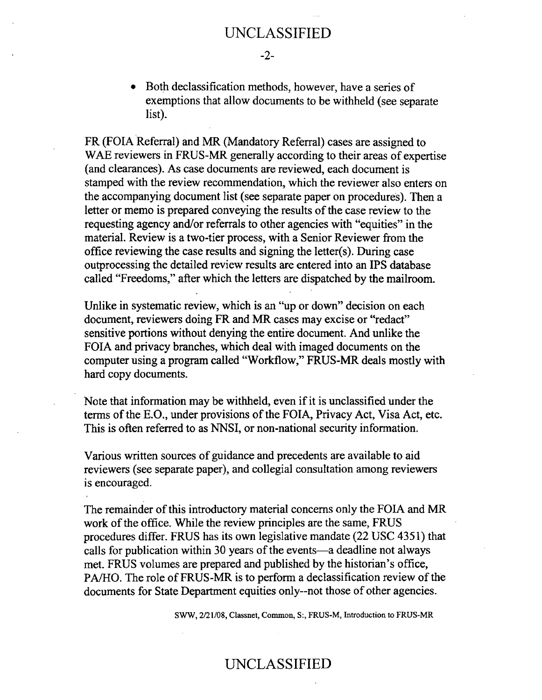#### -2-

• Both declassification methods, however, have a series of exemptions that allow documents to be withheld (see separate list).

FR (FOIA Referral) and MR (Mandatory Referral) cases are assigned to WAE reviewers in FRUS-MR generally according to their areas of expertise (and clearances). As case documents are reviewed, each document is stamped with the review recommendation, which the reviewer also enters on the accompanying document list (see separate paper on procedures). Then a letter or memo is prepared conveying the results of the case review to the requesting agency and/or referrals to other agencies with "equities" in the material. Review is a two-tier process, with a Senior Reviewer from the office reviewing the case results and signing the letter(s). During case outprocessing the detailed review results are entered into an IPS database called "Freedoms," after which the letters are dispatched by the mailroom.

Unlike in systematic review, which is an "up or down" decision on each document, reviewers doing FR and MR cases may excise or "redact" sensitive portions without denying the entire document. And unlike the FOIA and privacy branches, which deal with imaged documents on the computer using a program called "Workflow," FRUS-MR deals mostly with hard copy documents.

Note that information may be withheld, even if it is unclassified under the terms of the E.O., under provisions of the FOIA, Privacy Act, Visa Act, etc. This is often referred to as NNSI, or non-national security information.

Various written sources of guidance and precedents are available to aid reviewers (see separate paper), and collegial consultation among reviewers is encouraged.

The remainder of this introductory material concerns only the FOIA and MR work of the office. While the review principles are the same, FRUS procedures differ. FRUS has its own legislative mandate (22 USC 4351) that calls for publication within 30 years of the events-a deadline not always met. FRUS volumes are prepared and published by the historian's office, PA/HO. The role of FRUS-MR is to perform a declassification review of the documents for State Department equities only--not those of other agencies.

SWW, 2/21/08, Classnet, Common, S:, FRUS-M, Introduction to FRUS-MR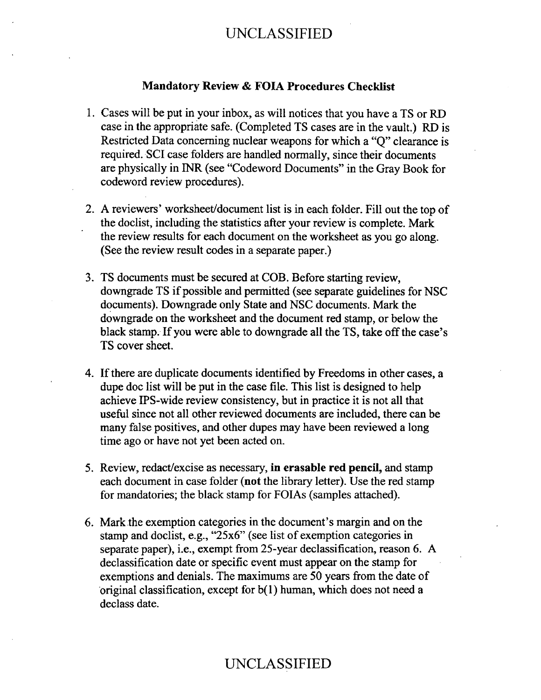#### Mandatory Review & FOIA Procedures Checklist

- 1. Cases will be put in your inbox, as will notices that you have a TS or RD case in the appropriate safe. (Completed TS cases are in the vault.) RD is Restricted Data concerning nuclear weapons for which a "Q" clearance is required. SCI case folders are handled normally, since their documents are physically in INR (see "Codeword Documents" in the Gray Book for codeword review procedures).
- 2. A reviewers' worksheet/document list is in each folder. Fill out the top of the doclist, including the statistics after your review is complete. Mark the review results for each document on the worksheet as you go along. (See the review result codes in a separate paper.)
- 3. TS documents must be secured at COB. Before starting review, downgrade TS if possible and permitted (see separate guidelines for NSC documents). Downgrade only State and NSC documents. Mark the downgrade on the worksheet and the document red stamp, or below the black stamp. If you were able to downgrade all the TS, take off the case's TS cover sheet.
- 4. If there are duplicate documents identified by Freedoms in other cases, a dupe doc list will be put in the case file. This list is designed to help achieve IPS-wide review consistency, but in practice it is not all that useful since not all other reviewed documents are included, there can be many false positives, and other dupes may have been reviewed a long time ago or have not yet been acted on.
- 5. Review, redact/excise as necessary, in erasable red pencil, and stamp each document in case folder (not the library letter). Use the red stamp for mandatories; the black stamp for FOIAs (samples attached).
- 6. Mark the exemption categories in the document's margin and on the stamp and doclist, e.g., "25x6" (see list of exemption categories in separate paper), i.e., exempt from 25-year declassification, reason 6. A declassification date or specific event must appear on the stamp for exemptions and denials. The maximums are 50 years from the date of original classification, except for  $b(1)$  human, which does not need a declass date.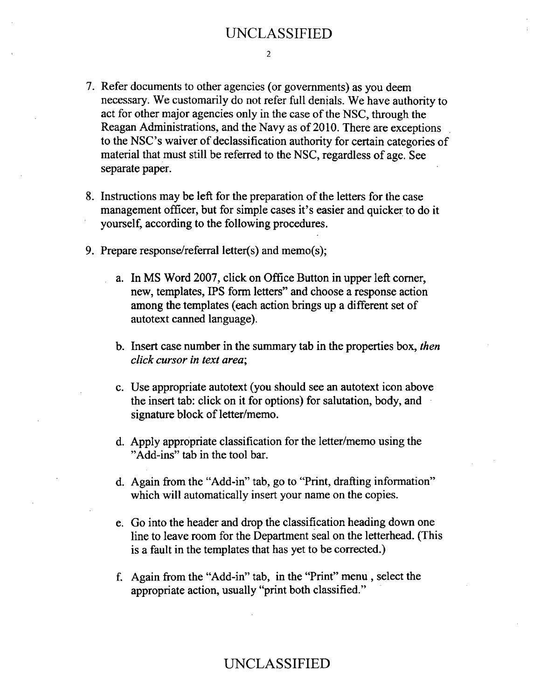- 7. Refer documents to other agencies (or governments) as you deem necessary. We customarily do not refer full denials. We have authority to act for other major agencies only in the case of the NSC, through the Reagan Administrations, and the Navy as of 2010. There are exceptions to the NSC's waiver of declassification authority for certain categories of material that must still be referred to the NSC, regardless of age. See separate paper.
- 8. Instructions may be left for the preparation of the letters for the case management officer, but for simple cases it's easier and quicker to do it yourself, according to the following procedures.
- 9. Prepare response/referral letter(s) and memo(s);
	- a. In MS Word 2007, click on Office Button in upper left comer, new, templates, IPS form letters" and choose a response action among the templates (each action brings up a different set of autotext canned language).
	- b. Insert case number in the summary tab in the properties box, *then click cursor in text area;*
	- c. Use appropriate autotext (you should see an autotext icon above the insert tab: click on it for options) for salutation, body, and signature block of letter/memo.
	- d. Apply appropriate classification for the letter/memo using the "Add-ins" tab in the tool bar.
	- d. Again from the "Add-in" tab, go to "Print, drafting information" which will automatically insert your name on the copies.
	- e. Go into the header and drop the classification heading down one line to leave room for the Department seal on the letterhead. (This is a fault in the templates that has yet to be corrected.)
	- f. Again from the "Add-in" tab, in the "Print" menu , select the appropriate action, usually "print both classified."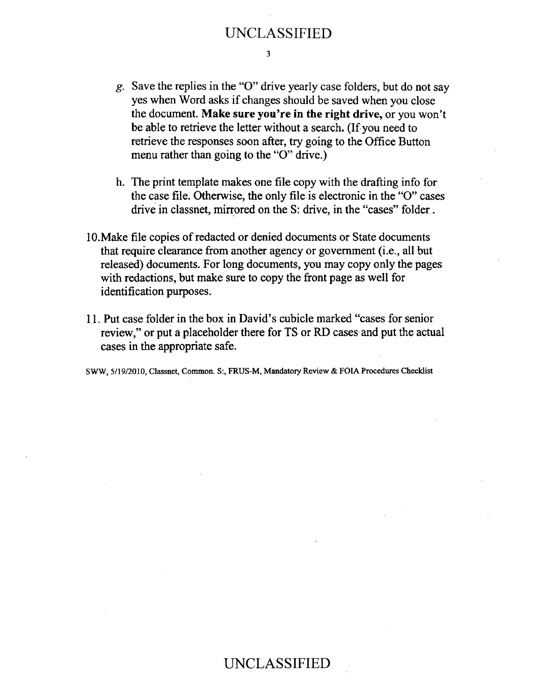3

- g. Save the replies in the "0" drive yearly case folders, but do not say yes when Word asks if changes should be saved when you close the document. Make sure you're in the right drive, or you won't be able to retrieve the letter without a search. (If you need to retrieve the responses soon after, try going to the Office Button menu rather than going to the "O" drive.)
- h. The print template makes one file copy with the drafting info for the case file. Otherwise, the only file is electronic in the "0" cases drive in classnet, mirrored on the S: drive, in the "cases" folder.
- 1 O.Make file copies of redacted or denied documents or State documents that require clearance from another agency or government (i.e., all but released) documents. For long documents, you may copy only the pages with redactions, but make sure to copy the front page as well for identification purposes.
- 1.1. Put case folder in the box in David's cubicle marked "cases for senior review," or put a placeholder there for TS or RD cases and put the actual cases in the appropriate safe.

SWW, 5119/2010, Classnet, Common. S:, FRUS-M, Mandatory Review & FOIA Procedures Checklist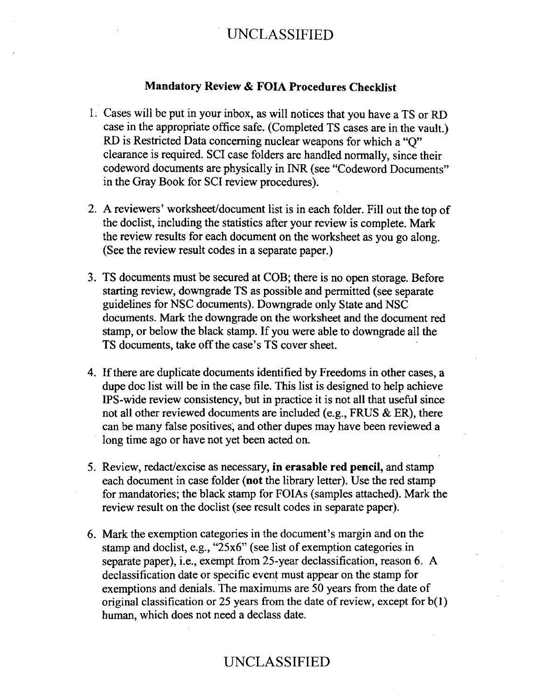#### Mandatory Review & FOIA Procedures Checklist

- 1; Cases will be put in your inbox, as will notices that you have a TS or RD case in the appropriate office safe. (Completed TS cases are in the vault.) RD is Restricted Data concerning nuclear weapons for which a "Q" clearance is required. SCI case folders are handled normally, since their codeword documents are physically in INR (see "Codeword Documents" in the Gray Book for SCI review procedures).
- 2. A reviewers' worksheet/document list is in each folder. Fill out the top of the doclist, including the statistics after your review is complete. Mark the review results for each document on the worksheet as you go along. (See the review result codes in a separate paper.)
- 3. TS documents must be secured at COB; there is no open storage. Before starting review, downgrade TS as possible and permitted (see separate guidelines for NSC documents). Downgrade only State and NSC documents. Mark the downgrade on the worksheet and the document red stamp, or below the black stamp. If you were able to downgrade all the TS documents, take off the case's TS cover sheet.
- 4. If there are duplicate documents identified by Freedoms in other cases, a dupe doc list will be in the case file. This list is designed to help achieve IPS-wide review consistency, but in practice it is not all that useful since not all other reviewed documents are included (e.g., FRUS  $&$  ER), there can be many false positives, and other dupes may have been reviewed a long time ago or have not yet been acted on.
- 5. Review, redact/excise as necessary, in erasable red pencil, and stamp each document in case folder (not the library letter). Use the red stamp for mandatories; the black stamp for FOIAs (samples attached). Mark the review result on the doclist (see result codes in separate paper).
- 6. Mark the exemption categories in the document's margin and on the stamp and doclist, e.g., "25x6" (see list of exemption categories in separate paper), i.e., exempt from 25-year declassification, reason 6. A declassification date or specific event must appear on the stamp for exemptions and denials. The maximums are 50 years from the date of original classification or 25 years from the date of review, except for b(l) human, which does not need a declass date.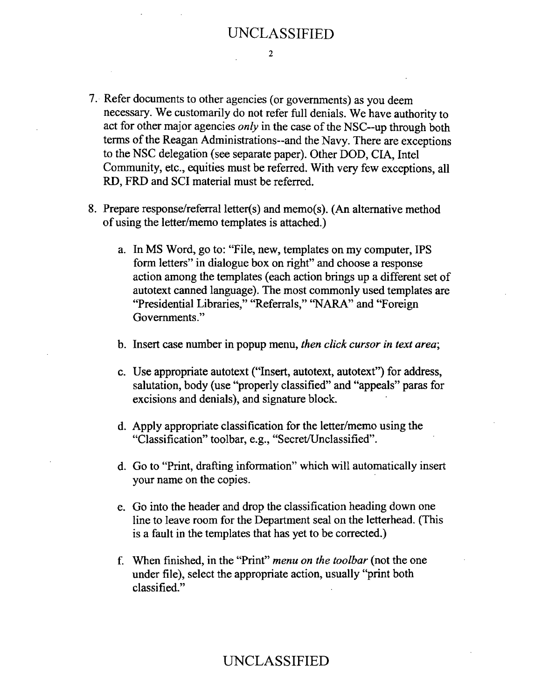- 7. Refer documents to other agencies (or governments) as you deem necessary. We customarily do not refer full denials. We have authority to act for other major agencies *only* in the case of the NSC--up through both terms of the Reagan Administrations--and the Navy. There are exceptions to the NSC delegation (see separate paper). Other DOD, CIA, Intel Community, etc., equities must be referred. With very few exceptions, all RD, FRD and SCI material must be referred.
- 8. Prepare response/referral letter(s) and memo(s). (An alternative method of using the letter/memo templates is attached.)
	- a. In MS Word, go to: "File, new, templates on my computer, IPS form letters" in dialogue box on right" and choose a response action among the templates (each action brings up a different set of autotext canned language). The most commonly used templates are "Presidential Libraries," "Referrals," ''NARA" and "Foreign Governments."
	- b. Insert case number in popup menu, *then click cursor in text area;*
	- c. Use appropriate autotext ("Insert, autotext, autotext") for address, salutation, body (use "properly classified" and "appeals" paras for excisions and denials), and signature block.
	- d. Apply appropriate classification for the letter/memo using the "Classification" toolbar, e.g., "Secret/Unclassified".
	- d. Go to "Print, drafting information" which will automatically insert your name on the copies.
	- e. Go into the header and drop the classification heading down one line to leave room for the Department seal on the letterhead. (This is a fault in the templates that has yet to be corrected.)
	- f. When finished, in the "Print" *menu on the too/bar* (not the one under file), select the appropriate action, usually "print both classified."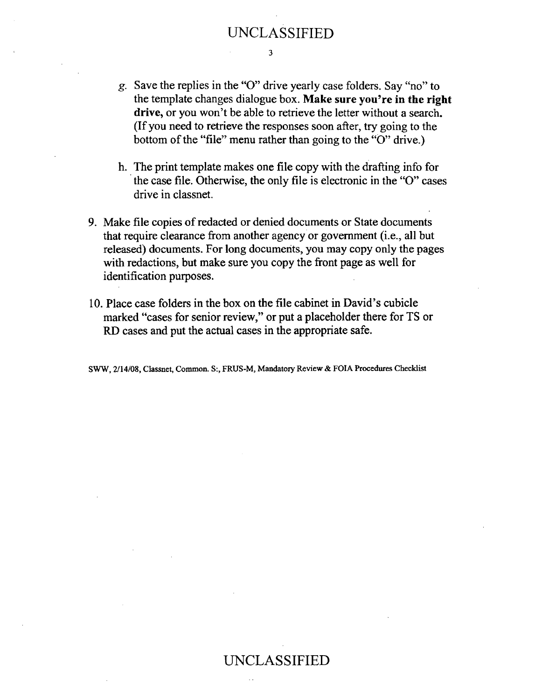- 3
- *g.* Save the replies in the "0" drive yearly case folders. Say "no" to the template changes dialogue box. Make sure you're in the right drive, or you won't be able to retrieve the letter without a search. (If you need to retrieve the responses soon after, try going to the bottom of the "file" menu rather than going to the "0" drive.)
- h. The print template makes one file copy with the drafting info for the case file. Otherwise, the only file is electronic in the "0" cases drive in classnet.
- 9. Make file copies of redacted or denied documents or State documents that require clearance from another agency or government (i.e., all but released) documents. For long documents, you may copy only the pages with redactions, but make sure you copy the front page as well for identification purposes.
- 10. Place case folders in the box on the file cabinet in David's cubicle marked "cases for senior review," or put a placeholder there for TS or RD cases and put the actual cases in the appropriate safe.

SWW, 2/14/08, Classnet, Common. S:, FRUS-M, Mandatory Review & FOIA Procedures Checklist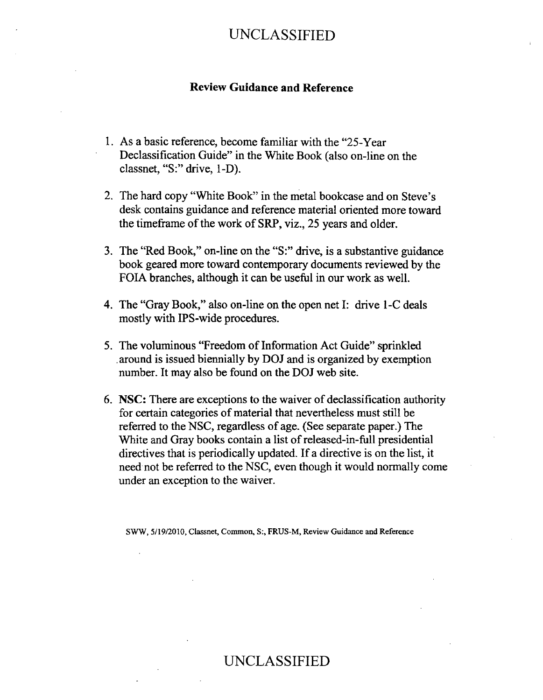#### Review Guidance and Reference

- 1. As a basic reference, become familiar with the "25-Year Declassification Guide" in the White Book (also on-line on the classnet, "S:" drive, 1-D).
- 2. The hard copy "White Book" in the metal bookcase and on Steve's desk contains guidance and reference material oriented more toward the timeframe of the work of SRP, viz., 25 years and older.
- 3. The "Red Book," on-line on the "S:" drive, is a substantive guidance book geared more toward contemporary documents reviewed by the FOIA branches, although it can be useful in our work as well.
- 4. The "Gray Book/' also on-line on the open net I: drive 1-C deals mostly with IPS-wide procedures.
- 5. The voluminous "Freedom of Information Act Guide" sprinkled . around is issued biennially by DOJ and is organized by exemption number. It may also be found on the DOJ web site.
- 6. NSC: There are exceptions to the waiver of declassification authority for certain categories of material that nevertheless must still be referred to the NSC, regardless of age. (See separate paper.) The White and Gray books contain a list of released-in-full presidential directives that is periodically updated. If a directive is on the list, it need not be referred to the NSC, even though it would normally come under an exception to the waiver.

SWW, 5/19/2010, Classnet, Common, S:, FRUS-M, Review Guidance and Reference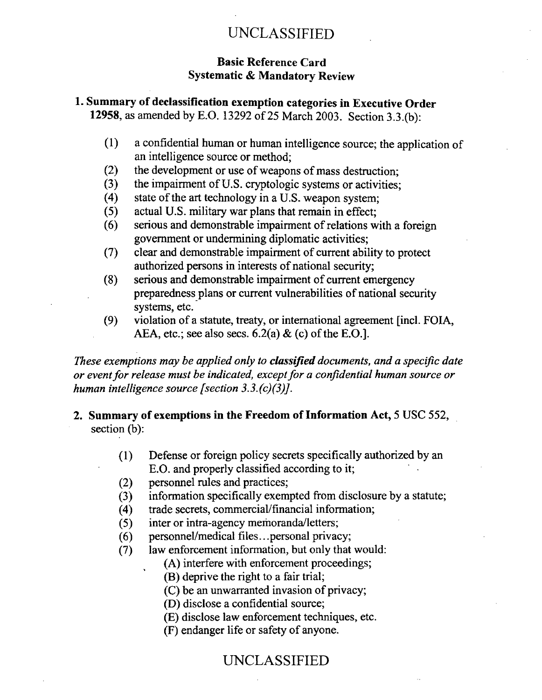#### Basic Reference Card Systematic & Mandatory Review

## 1. Summary of declassification exemption categories in Executive Order 12958, as amended by E.O. 13292 of 25 March 2003. Section 3.3.(b):

- ( 1) a confidential human or human intelligence source; the application of an intelligence source or method;
- (2) the development or use of weapons of mass destruction;
- (3) the impairment of U.S. cryptologic systems or activities;
- (4) state of the art technology in a U.S. weapon system;
- (5) actual U.S. military war plans that remain in effect;
- ( 6) serious and demonstrable impairment of relations with a foreign government or undermining diplomatic activities;
- (7) clear and demonstrable impairment of current ability to protect authorized persons in interests of national security;
- (8) serious and demonstrable impairment of current emergency preparedness\_plans or current vulnerabilities of national security systems, etc.
- (9) violation of a statute, treaty, or international agreement [incl. FOIA, AEA, etc.; see also secs.  $6.2(a) \& c$  of the E.O.].

*These exemptions may be applied only to classified documents, and a specific date or event for release must be indicated, except for a confidential human source or human intelligence source [section 3.3.(c)(3)].* 

- 2. Summary of exemptions in the Freedom of Information Act, 5 USC 552, section (b):
	- (1) Defense or foreign policy secrets specifically authorized by an E.O. and properly classified according to it;
	- (2) personnel rules and practices;
	- (3) information specifically exempted from disclosure by a statute;
	- (4) trade secrets, commercial/financial information;
	- ( 5) inter or intra-agency memoranda/letters;
	- ( 6) personnel/medical files ... personal privacy;
	- (7) law enforcement information, but only that would:
		- (A) interfere with enforcement proceedings;
		- (B) deprive the right to a fair trial;
		- (C) be an unwarranted invasion of privacy;
		- (D) disclose a confidential source;
		- (E) disclose law enforcement techniques, etc.
		- (F) endanger life or safety of anyone.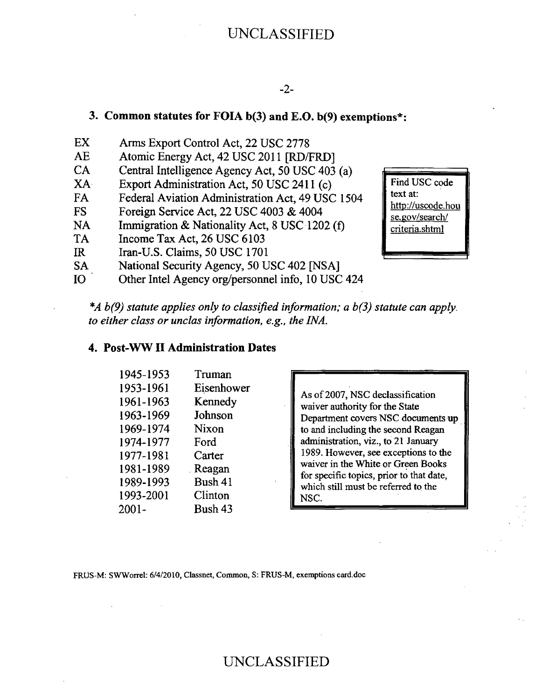#### -2-

#### **3. Common statutes for FOIA b(3) and E.O. b(9) exemptions\*:**

- EX Arms Export Control Act, 22 USC 2778
- AE Atomic Energy Act, 42 USC 2011 [RD/FRD]
- CA Central Intelligence Agency Act, 50 USC 403 (a)
- XA Export Administration Act, 50 USC 2411 (c)
- FA Federal Aviation Administration Act, 49 USC 1504
- FS Foreign Service Act, 22 USC 4003 & 4004
- NA Immigration  $\&$  Nationality Act, 8 USC 1202 (f)
- TA Income Tax Act, 26 USC 6103
- IR Iran-U.S. Claims, 50 USC 1701
- SA National Security Agency, 50 USC 402 [NSA]
- **10**  Other Intel Agency org/personnel info, 10 USC 424

Find USC code text at: http://uscode.hou se.gov/search/ criteria.shtml

*\*A b(9) statute applies only to classified information; a b(3) statute can apply. to either class or unclas information, e.g., the INA.* 

#### **4. Post-WW II Administration Dates**

| 1945-1953 | Truman     |
|-----------|------------|
| 1953-1961 | Eisenhower |
| 1961-1963 | Kennedy    |
| 1963-1969 | Johnson    |
| 1969-1974 | Nixon      |
| 1974-1977 | Ford       |
| 1977-1981 | Carter     |
| 1981-1989 | Reagan     |
| 1989-1993 | Bush 41    |
| 1993-2001 | Clinton    |
| 2001-     | Bush 43    |

As of 2007, NSC declassification waiver authority for the State Department covers NSC documents up to and including the second Reagan administration, viz., to 21 January 1989. However, see exceptions to the waiver in the White or Green Books for specific topics, prior to that date, which still must be referred to the NSC.

FRUS-M: SWWorrel: 6/4/2010, Classnet, Common, S: FRUS-M, exemptions card.doc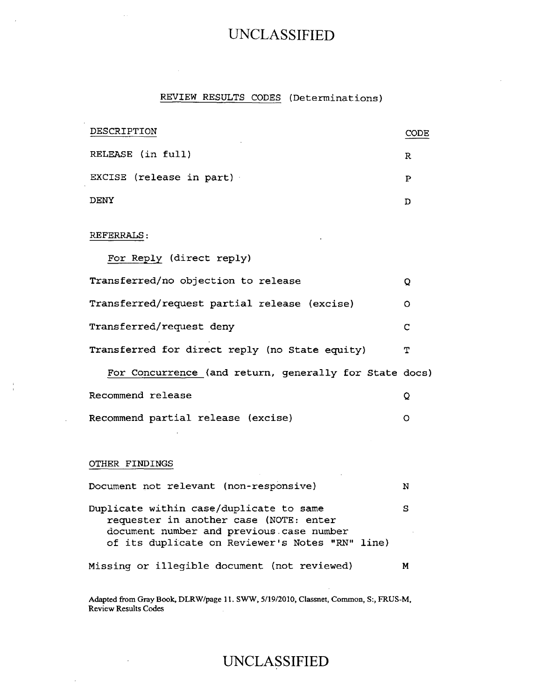### REVIEW RESULTS CODES (Determinations)

| DESCRIPTION<br>$\blacksquare$ | CODE |
|-------------------------------|------|
| RELEASE (in full)             | R    |
| EXCISE (release in part)      | P    |
| <b>DENY</b>                   | D    |

#### REFERRALS:

 $\ddot{\phantom{a}}$ 

 $\overline{a}$ 

 $\frac{1}{4}$ 

 $\hat{\mathcal{L}}$ 

 $\cdot$ 

| For Reply (direct reply)                               |   |
|--------------------------------------------------------|---|
| Transferred/no objection to release                    | O |
| Transferred/request partial release (excise)           | Ω |
| Transferred/request deny                               |   |
| Transferred for direct reply (no State equity)         |   |
| For Concurrence (and return, generally for State docs) |   |
| Recommend release                                      |   |

| Recommend partial release (excise) |  |  |  |
|------------------------------------|--|--|--|

#### OTHER FINDINGS

| Document not relevant (non-responsive)                                                                                                                                           |  |
|----------------------------------------------------------------------------------------------------------------------------------------------------------------------------------|--|
| Duplicate within case/duplicate to same<br>requester in another case (NOTE: enter<br>document number and previous case number<br>of its duplicate on Reviewer's Notes "RN" line) |  |
| Missing or illegible document (not reviewed)                                                                                                                                     |  |

Adapted from Gray Book, DLRW/page 11. SWW, 5119/2010, Classnet, Common, S:, FRUS-M, Review Results Codes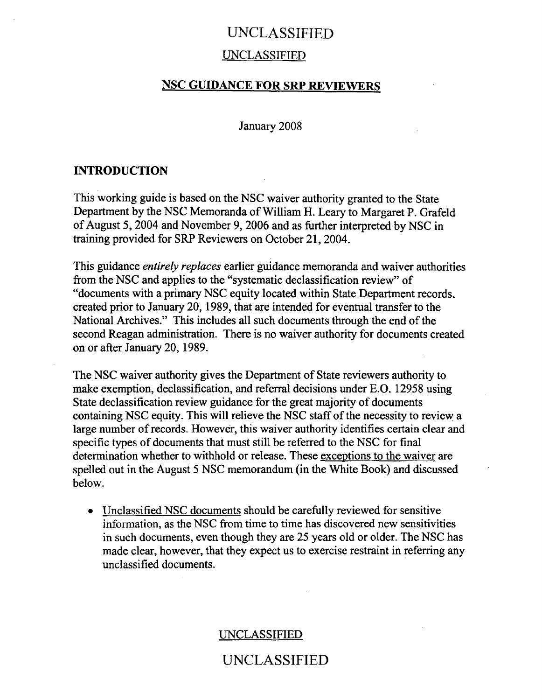#### UNCLASSIFIED

## NSC GUIDANCE FOR SRP REVIEWERS

January 2008

#### INTRODUCTION

This working guide is based on the NSC waiver authority granted to the State Department by the NSC Memoranda of William H. Leary to Margaret P. Grafeld of August 5, 2004 and November 9, 2006 and as further interpreted by NSC in training provided for SRP Reviewers on October 21,2004.

This guidance *entirely replaces* earlier guidance memoranda and waiver authorities from the NSC and applies to the "systematic declassification review" of "documents with a primary NSC equity located within State Department records. created prior to January 20, 1989, that are intended for eventual transfer to the National Archives." This includes all such documents through the end of the second Reagan administration. There is no waiver authority for documents created on or after January 20, 1989.

The NSC waiver authority gives the Department of State reviewers authority to make exemption, declassification, and referral decisions under E.O. 12958 using State declassification review guidance for the great majority of documents containing NSC equity. This will relieve the NSC staff of the necessity to review a large number of records. However, this waiver authority identifies certain clear and specific types of documents that must still be referred to the NSC for final determination whether to withhold or release. These exceptions to the waiver are spelled out in the August 5 NSC memorandum (in the White Book) and discussed below.

• Unclassified NSC documents should be carefully reviewed for sensitive information, as the NSC from time to time has discovered new sensitivities in such documents, even though they are 25 years old or older. The NSC has made clear, however, that they expect us to exercise restraint in referring any unclassified documents.

#### UNCLASSIFIED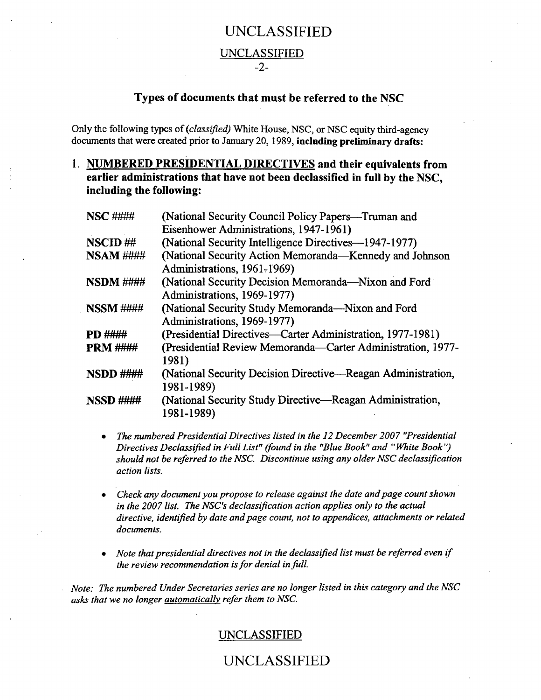# UNCLASSIFIED UNCLASSIFIED -2-

#### Types of documents that must be referred to the NSC

Only the following types of *(classified)* White House, NSC, or NSC equity third-agency documents that were created prior to January 20, 1989, including preliminary drafts:

1. NUMBERED PRESIDENTIAL DIRECTIVES and their equivalents from earlier administrations that have not been declassified in full by the NSC, including the following:

| $NSC$ ####       | (National Security Council Policy Papers—Truman and          |
|------------------|--------------------------------------------------------------|
|                  | Eisenhower Administrations, 1947-1961)                       |
| NSCID##          | (National Security Intelligence Directives—1947-1977)        |
| <b>NSAM</b> #### | (National Security Action Memoranda—Kennedy and Johnson      |
|                  | Administrations, 1961-1969)                                  |
| <b>NSDM</b> #### | (National Security Decision Memoranda—Nixon and Ford         |
|                  | Administrations, 1969-1977)                                  |
| <b>NSSM ####</b> | (National Security Study Memoranda—Nixon and Ford            |
|                  | Administrations, 1969-1977)                                  |
| <b>PD</b> ####   | (Presidential Directives—Carter Administration, 1977-1981)   |
| <b>PRM ####</b>  | (Presidential Review Memoranda—Carter Administration, 1977-  |
|                  | 1981)                                                        |
| NSDD ####        | (National Security Decision Directive—Reagan Administration, |
|                  | 1981-1989)                                                   |
| NSSD ####        | (National Security Study Directive—Reagan Administration,    |
|                  | 1981-1989)                                                   |

- *The numbered Presidential Directives listed in the 12 December 2007 "Presidential Directives Declassified in Full List" (found in the "Blue Book" and "White Book") should not be referred to the NSC. Discontinue using any older NSC declassification action lists.*
- *Check any document you propose to release against the date and page count shown in the 2007 list. The NSC's declassification action applies only to the actual directive, identified by date and page count, not to appendices, attachments or related documents.*
- *Note that presidential directives not in the declassified list must be referred even if the review recommendation is for denial in full.*

*Note: The numbered Under Secretaries series are no longer listed in this category and the NSC asks that we no longer automatically refer them to NSC.* 

#### UNCLASSIFIED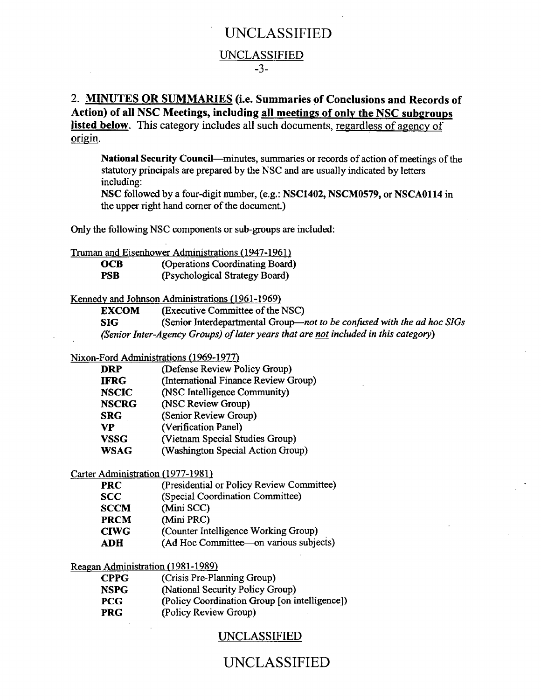#### UNCLASSIFIED

#### -3-

#### 2. MINUTES OR SUMMARIES (i.e. Summaries of Conclusions and Records of Action) of all NSC Meetings, including all meetings of only the NSC subgroups

listed below. This category includes all such documents, regardless of agency of origin.

National Security Council-minutes, summaries or records of action of meetings of the statutory principals are prepared by the NSC and are usually indicated by letters including:

NSC followed by a four-digit number, (e.g.: NSC1402, NSCMOS79, or NSCA0114 in the upper right hand corner of the document.)

Only the following NSC components or sub-groups are included:

Truman and Eisenhower Administrations (1947-1961}

| <b>OCB</b> | (Operations Coordinating Board) |
|------------|---------------------------------|
| <b>PSB</b> | (Psychological Strategy Board)  |

Kennedy and Johnson Administrations (1961-1969)

EX COM (Executive Committee of the NSC) SIG (Senior Interdepartmental *Group--not to be confused with the ad hoc SIGs (Senior Inter-Agency Groups) of later years that are not included in this category)* 

Nixon-Ford Administrations (1969-1977)

| <b>DRP</b>   | (Defense Review Policy Group)        |
|--------------|--------------------------------------|
| <b>IFRG</b>  | (International Finance Review Group) |
| <b>NSCIC</b> | (NSC Intelligence Community)         |
| <b>NSCRG</b> | (NSC Review Group)                   |
| <b>SRG</b>   | (Senior Review Group)                |
| <b>VP</b>    | (Verification Panel)                 |
| <b>VSSG</b>  | (Vietnam Special Studies Group)      |
| <b>WSAG</b>  | (Washington Special Action Group)    |
|              |                                      |

Carter Administration (1977-1981)

| PRC         | (Presidential or Policy Review Committee) |
|-------------|-------------------------------------------|
| SCC         | (Special Coordination Committee)          |
| <b>SCCM</b> | (Mini SCC)                                |
| PRCM        | (Mini PRC)                                |
| CIWG        | (Counter Intelligence Working Group)      |
| ADH         | (Ad Hoc Committee—on various subjects)    |

Reagan Administration (1981-1989)

| (Crisis Pre-Planning Group)                   |
|-----------------------------------------------|
| (National Security Policy Group)              |
| (Policy Coordination Group [on intelligence]) |
| (Policy Review Group)                         |
|                                               |

#### UNCLASSIFIED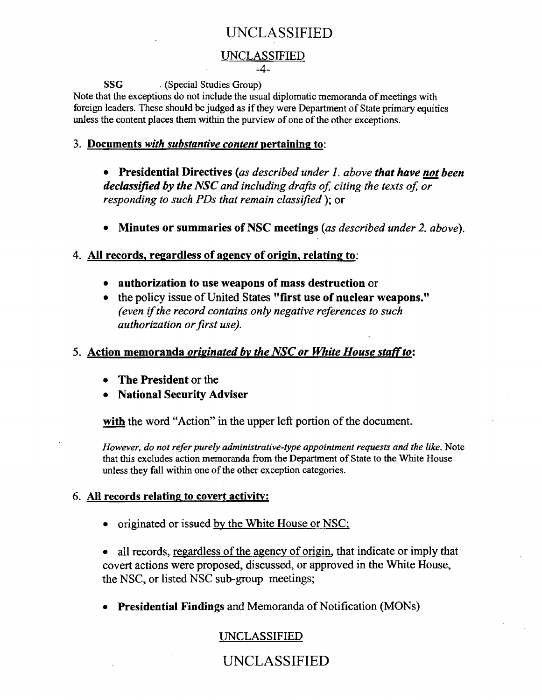#### UNCLASSIFIED

-4-

SSG . (Special Studies Group)

Note that the exceptions do not include the usual diplomatic memoranda of meetings with foreign leaders. These should be judged as if they were Department of State primary equities unless the content places them within the purview of one of the other exceptions.

#### 3. Documents *with substantive content* pertaining to:

• Presidential Directives *(as described under 1. above that have not been declassified by the NSC and including drafts of, citing the texts of, or responding to such PDs that remain classified);* or

• Minutes or summaries ofNSC meetings *(as described under 2. above).* 

### 4. All records, regardless of agency of origin, relating to:

- authorization to use weapons of mass destruction or
- the policy issue of United States "first use of nuclear weapons." *(even* if *the record contains only negative references to such authorization or first use).*

#### 5. Action memoranda *originated bv the NSC or White House staff to:*

- The President or the
- National Security Adviser

with the word "Action" in the upper left portion of the document.

*However, do not refer purely administrative-type appointment requests and the like.* Note that this excludes action memoranda from the Department of State to the White House unless they fall within one of the other exception categories.

#### 6. All records relating to covert activity:

originated or issued by the White House or NSC;

• all records, regardless of the agency of origin, that indicate or imply that covert actions were proposed, discussed, or approved in the White House, the NSC, or listed NSC sub-group meetings;

• Presidential Findings and Memoranda of Notification (MONs)

## UNCLASSIFIED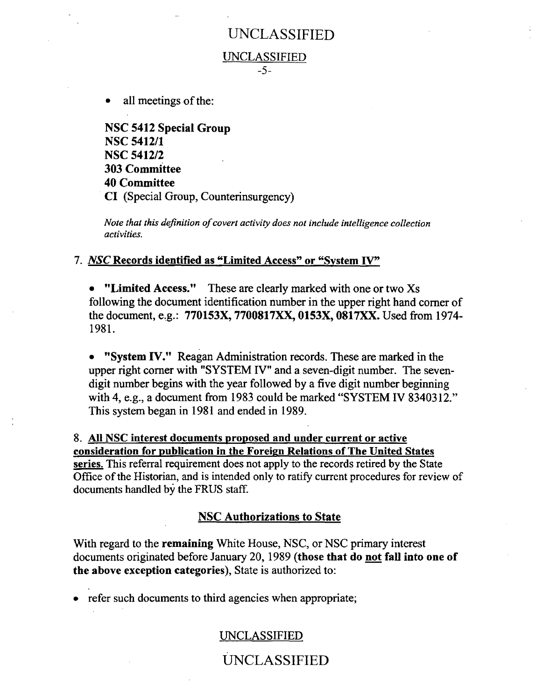#### UNCLASSIFIED

-5-

all meetings of the:

NSC 5412 Special Group NSC 5412/1 NSC 5412/2 303 Committee 40 Committee CI (Special Group, Counterinsurgency)

*Note that this definition of covert activity does not include intelligence collection activities.* 

#### 7. *NSC* Records identified as "Limited Access" or "System IV"

• "Limited Access." These are clearly marked with one or two Xs following the document identification number in the upper right hand comer of the document, e.g.: 770153X, 7700817XX, 0153X, 0817XX. Used from 1974-1981.

• "System IV." Reagan Administration records. These are marked in the upper right comer with "SYSTEM IV" and a seven-digit number. The sevendigit number begins with the year followed by a five digit number beginning with 4, e.g., a document from 1983 could be marked "SYSTEM IV 8340312." This system began in 1981 and ended in 1989.

8. All NSC interest documents proposed and under current or active consideration for publication in the Foreign Relations of The United States series. This referral requirement does not apply to the records retired by the State Office of the Historian, and is intended only to ratify current procedures for review of documents handled by the FRUS staff.

#### NSC Authorizations to State

With regard to the remaining White House, NSC, or NSC primary interest documents originated before January 20, 1989 (those that do not fall into one of the above exception categories), State is authorized to:

• refer such documents to third agencies when appropriate;

#### UNCLASSIFIED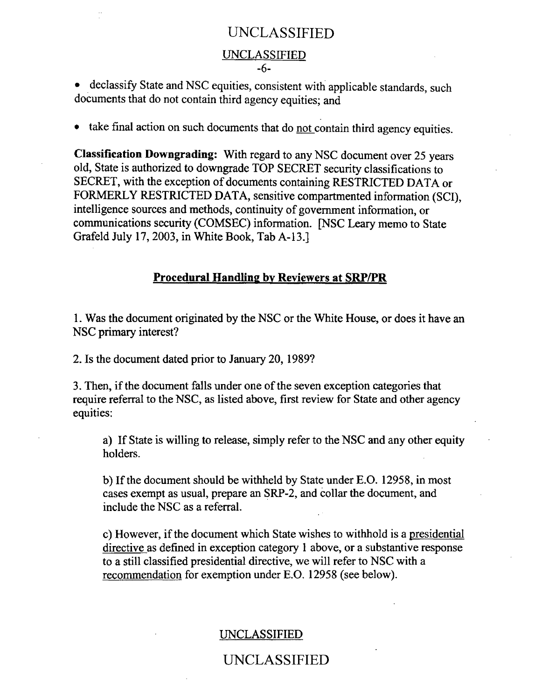## UNCLASSIFIED

#### -6-

• declassify State and NSC equities, consistent with applicable standards, such documents that do not contain third agency equities; and

• take final action on such documents that do not contain third agency equities.

Classification Downgrading: With regard to any NSC document over 25 years old, State is authorized to downgrade TOP SECRET security classifications to SECRET, with the exception of documents containing RESTRICTED DATA or FORMERLY RESTRICTED DATA, sensitive compartmented information (SCI), intelligence sources and methods, continuity of government information, or communications security (COMSEC) information. [NSC Leary memo to State Grafeld July 17,2003, in White Book, Tab A-13.]

#### Procedural Handling by Reviewers at SRP/PR

1. Was the document originated by the NSC or the White House, or does it have an NSC primary interest?

2. Is the document dated prior to January 20, 1989?

3. Then, if the document falls under one of the seven exception categories that require referral to the NSC, as listed above, first review for State and other agency equities:

a) If State is willing to release, simply refer to the NSC and any other equity holders.

b) If the document should be withheld by State under E.O. 12958, in most cases exempt as usual, prepare an SRP-2, and collar the document, and include the NSC as a referral.

c) However, if the document which State wishes to withhold is a presidential directive as defined in exception category 1 above, or a substantive response to a still classified presidential directive, we will refer to NSC with a recommendation for exemption under E.O. 12958 (see below).

#### UNCLASSIFIED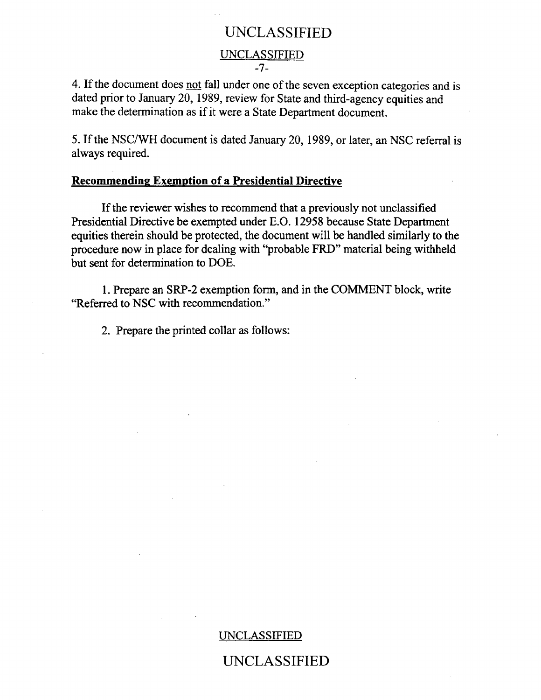# UNCLASSIFIED UNCLASSIFIED -7-

4. If the document does not fall under one of the seven exception categories and is dated prior to January 20, 1989, review for State and third-agency equities and make the determination as if it were a State Department document.

5. If the NSC/WH document is dated January 20, 1989, or later, an NSC referral is always required.

#### Recommending Exemption of a Presidential Directive

If the reviewer wishes to recommend that a previously not unclassified Presidential Directive be exempted under E.O. 12958 because State Department equities therein should be protected, the document will be handled similarly to the procedure now in place for dealing with "probable FRD" material being withheld but sent for determination to DOE.

1. Prepare an SRP-2 exemption form, and in the COMMENT block, write "Referred to NSC with recommendation."

2. Prepare the printed collar as follows:

UNCLASSIFIED